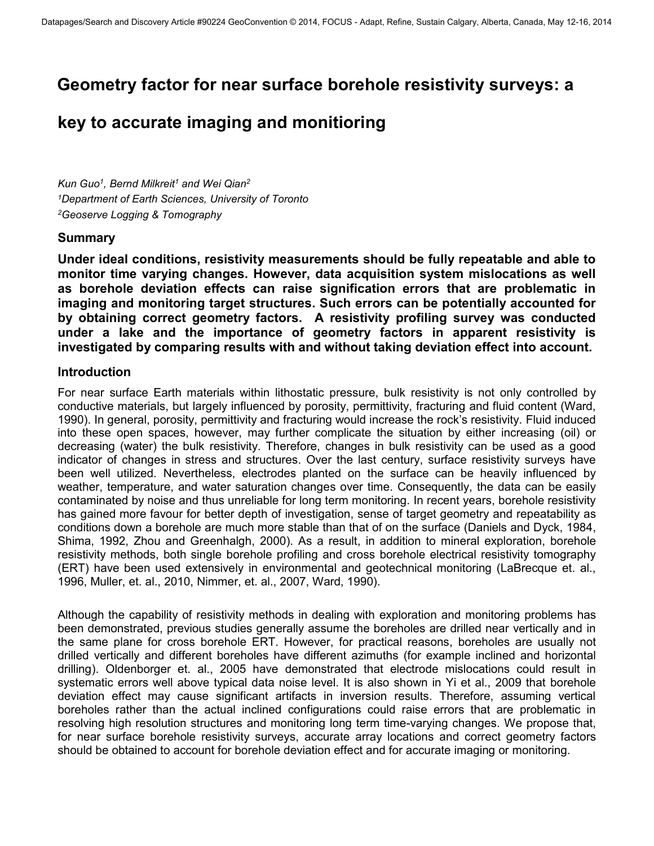# **Geometry factor for near surface borehole resistivity surveys: a**

# **key to accurate imaging and monitioring**

*Kun Guo<sup>1</sup> , Bernd Milkreit<sup>1</sup> and Wei Qian<sup>2</sup> <sup>1</sup>Department of Earth Sciences, University of Toronto <sup>2</sup>Geoserve Logging & Tomography* 

## **Summary**

**Under ideal conditions, resistivity measurements should be fully repeatable and able to monitor time varying changes. However, data acquisition system mislocations as well as borehole deviation effects can raise signification errors that are problematic in imaging and monitoring target structures. Such errors can be potentially accounted for by obtaining correct geometry factors. A resistivity profiling survey was conducted under a lake and the importance of geometry factors in apparent resistivity is investigated by comparing results with and without taking deviation effect into account.** 

## **Introduction**

For near surface Earth materials within lithostatic pressure, bulk resistivity is not only controlled by conductive materials, but largely influenced by porosity, permittivity, fracturing and fluid content (Ward, 1990). In general, porosity, permittivity and fracturing would increase the rock's resistivity. Fluid induced into these open spaces, however, may further complicate the situation by either increasing (oil) or decreasing (water) the bulk resistivity. Therefore, changes in bulk resistivity can be used as a good indicator of changes in stress and structures. Over the last century, surface resistivity surveys have been well utilized. Nevertheless, electrodes planted on the surface can be heavily influenced by weather, temperature, and water saturation changes over time. Consequently, the data can be easily contaminated by noise and thus unreliable for long term monitoring. In recent years, borehole resistivity has gained more favour for better depth of investigation, sense of target geometry and repeatability as conditions down a borehole are much more stable than that of on the surface (Daniels and Dyck, 1984, Shima, 1992, Zhou and Greenhalgh, 2000). As a result, in addition to mineral exploration, borehole resistivity methods, both single borehole profiling and cross borehole electrical resistivity tomography (ERT) have been used extensively in environmental and geotechnical monitoring (LaBrecque et. al., 1996, Muller, et. al., 2010, Nimmer, et. al., 2007, Ward, 1990).

Although the capability of resistivity methods in dealing with exploration and monitoring problems has been demonstrated, previous studies generally assume the boreholes are drilled near vertically and in the same plane for cross borehole ERT. However, for practical reasons, boreholes are usually not drilled vertically and different boreholes have different azimuths (for example inclined and horizontal drilling). Oldenborger et. al., 2005 have demonstrated that electrode mislocations could result in systematic errors well above typical data noise level. It is also shown in Yi et al., 2009 that borehole deviation effect may cause significant artifacts in inversion results. Therefore, assuming vertical boreholes rather than the actual inclined configurations could raise errors that are problematic in resolving high resolution structures and monitoring long term time-varying changes. We propose that, for near surface borehole resistivity surveys, accurate array locations and correct geometry factors should be obtained to account for borehole deviation effect and for accurate imaging or monitoring.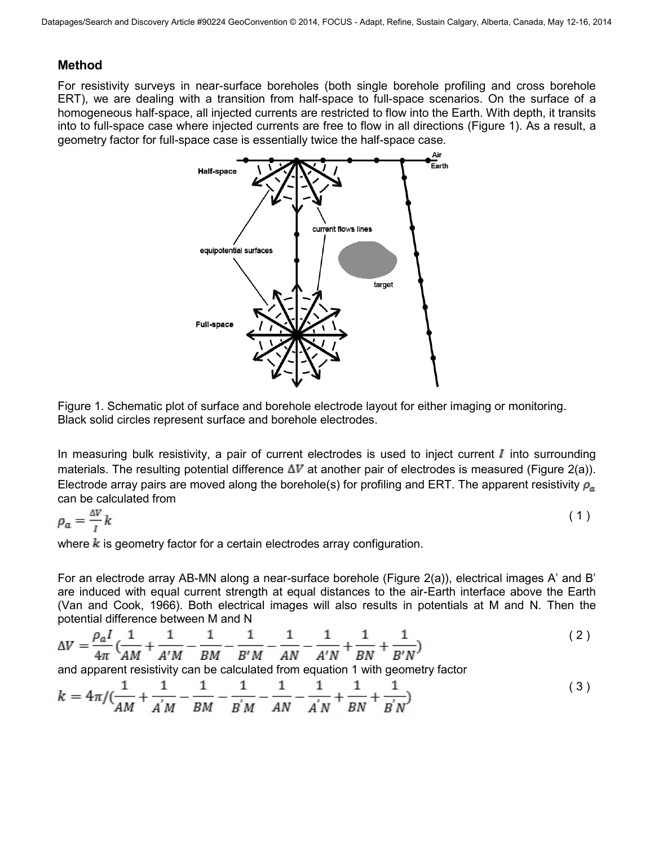## **Method**

For resistivity surveys in near-surface boreholes (both single borehole profiling and cross borehole ERT), we are dealing with a transition from half-space to full-space scenarios. On the surface of a homogeneous half-space, all injected currents are restricted to flow into the Earth. With depth, it transits into to full-space case where injected currents are free to flow in all directions [\(Figure 1\)](#page-1-0). As a result, a geometry factor for full-space case is essentially twice the half-space case.



<span id="page-1-0"></span>Figure 1. Schematic plot of surface and borehole electrode layout for either imaging or monitoring. Black solid circles represent surface and borehole electrodes.

In measuring bulk resistivity, a pair of current electrodes is used to inject current  $I$  into surrounding materials. The resulting potential difference  $\Delta V$  at another pair of electrodes is measured [\(Figure 2\(](#page-2-0)a)). Electrode array pairs are moved along the borehole(s) for profiling and ERT. The apparent resistivity  $\rho_a$ can be calculated from

$$
\rho_a = \frac{\Delta V}{I} k \tag{1}
$$

where  $k$  is geometry factor for a certain electrodes array configuration.

For an electrode array AB-MN along a near-surface borehole [\(Figure 2\(](#page-2-0)a)), electrical images A' and B' are induced with equal current strength at equal distances to the air-Earth interface above the Earth (Van and Cook, 1966). Both electrical images will also results in potentials at M and N. Then the potential difference between M and N

$$
\Delta V = \frac{\rho_a I}{4\pi} \left( \frac{1}{AM} + \frac{1}{A'M} - \frac{1}{BM} - \frac{1}{B'M} - \frac{1}{AN} - \frac{1}{AN} + \frac{1}{A'M} + \frac{1}{BN} + \frac{1}{B'N} \right)
$$
(2)

and apparent resistivity can be calculated from equation 1 with geometry factor

$$
k = 4\pi / (\frac{1}{AM} + \frac{1}{A'M} - \frac{1}{BM} - \frac{1}{B'M} - \frac{1}{AN} - \frac{1}{A'N} + \frac{1}{BM} + \frac{1}{B'N})
$$
(3)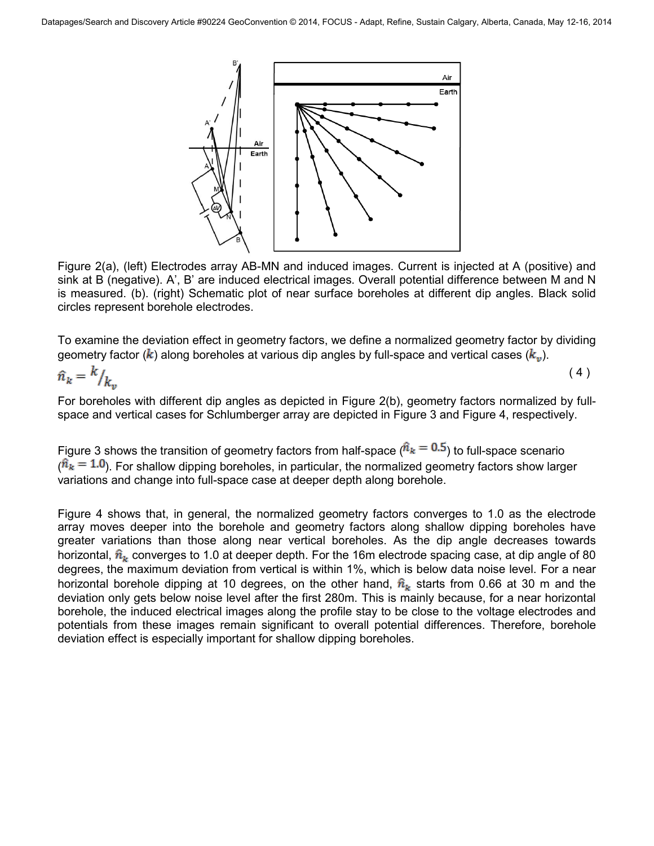

<span id="page-2-0"></span>Figure 2(a), (left) Electrodes array AB-MN and induced images. Current is injected at A (positive) and sink at B (negative). A', B' are induced electrical images. Overall potential difference between M and N is measured. (b). (right) Schematic plot of near surface boreholes at different dip angles. Black solid circles represent borehole electrodes.

To examine the deviation effect in geometry factors, we define a normalized geometry factor by dividing geometry factor ( $\hat{k}$ ) along boreholes at various dip angles by full-space and vertical cases ( $k_n$ ).

$$
\hat{n}_k = \frac{k}{k_v} \tag{4}
$$

For boreholes with different dip angles as depicted in [Figure 2\(](#page-2-0)b), geometry factors normalized by fullspace and vertical cases for Schlumberger array are depicted in [Figure 3](#page-3-0) and [Figure 4,](#page-3-1) respectively.

[Figure 3](#page-3-0) shows the transition of geometry factors from half-space ( $\hat{n}_{k} = 0.5$ ) to full-space scenario  $(\hat{n}_k = 1.0)$ . For shallow dipping boreholes, in particular, the normalized geometry factors show larger variations and change into full-space case at deeper depth along borehole.

[Figure 4](#page-3-1) shows that, in general, the normalized geometry factors converges to 1.0 as the electrode array moves deeper into the borehole and geometry factors along shallow dipping boreholes have greater variations than those along near vertical boreholes. As the dip angle decreases towards horizontal,  $\hat{n}_{k}$  converges to 1.0 at deeper depth. For the 16m electrode spacing case, at dip angle of 80 degrees, the maximum deviation from vertical is within 1%, which is below data noise level. For a near horizontal borehole dipping at 10 degrees, on the other hand,  $\hat{n}_{k}$  starts from 0.66 at 30 m and the deviation only gets below noise level after the first 280m. This is mainly because, for a near horizontal borehole, the induced electrical images along the profile stay to be close to the voltage electrodes and potentials from these images remain significant to overall potential differences. Therefore, borehole deviation effect is especially important for shallow dipping boreholes.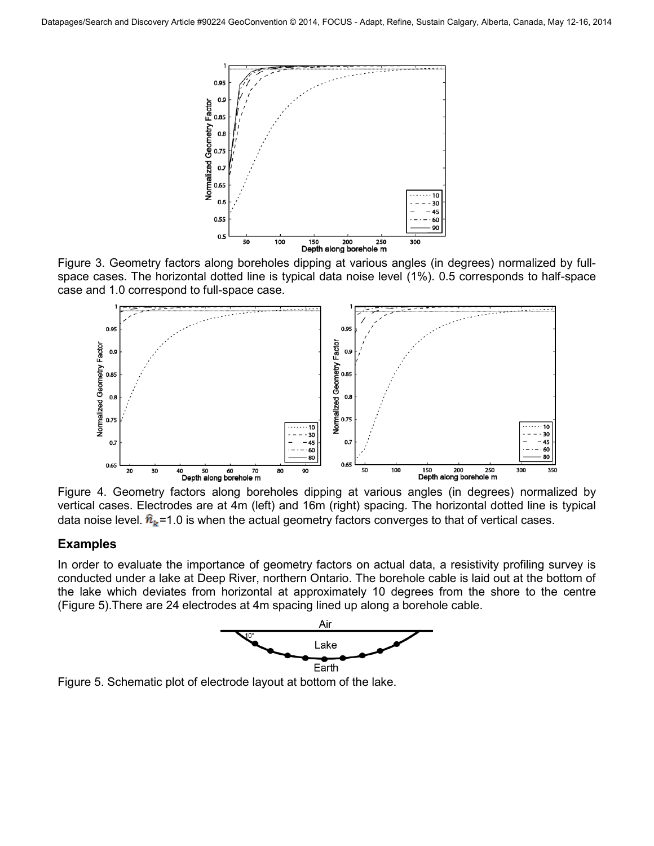

<span id="page-3-0"></span>Figure 3. Geometry factors along boreholes dipping at various angles (in degrees) normalized by fullspace cases. The horizontal dotted line is typical data noise level (1%). 0.5 corresponds to half-space case and 1.0 correspond to full-space case.



<span id="page-3-1"></span>Figure 4. Geometry factors along boreholes dipping at various angles (in degrees) normalized by vertical cases. Electrodes are at 4m (left) and 16m (right) spacing. The horizontal dotted line is typical data noise level.  $\hat{n}_{k}$ =1.0 is when the actual geometry factors converges to that of vertical cases.

## **Examples**

In order to evaluate the importance of geometry factors on actual data, a resistivity profiling survey is conducted under a lake at Deep River, northern Ontario. The borehole cable is laid out at the bottom of the lake which deviates from horizontal at approximately 10 degrees from the shore to the centre [\(Figure 5\)](#page-3-2).There are 24 electrodes at 4m spacing lined up along a borehole cable.



<span id="page-3-2"></span>Figure 5. Schematic plot of electrode layout at bottom of the lake.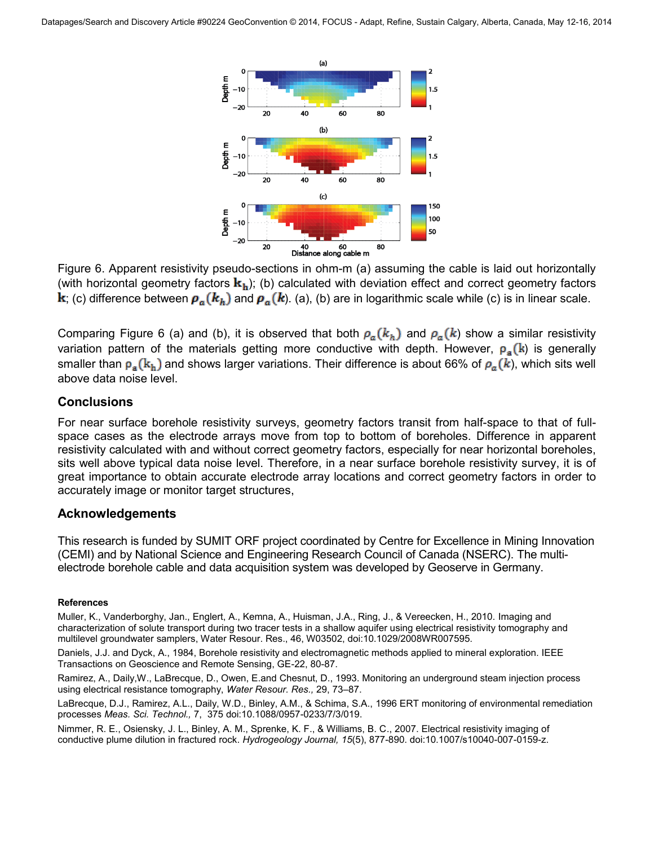

<span id="page-4-0"></span>Figure 6. Apparent resistivity pseudo-sections in ohm-m (a) assuming the cable is laid out horizontally (with horizontal geometry factors  $\mathbf{k}_h$ ); (b) calculated with deviation effect and correct geometry factors **k**; (c) difference between  $\rho_a(k_h)$  and  $\rho_a(k)$ . (a), (b) are in logarithmic scale while (c) is in linear scale.

Comparing [Figure 6](#page-4-0) (a) and (b), it is observed that both  $\rho_a(k_h)$  and  $\rho_a(k)$  show a similar resistivity variation pattern of the materials getting more conductive with depth. However,  $\rho_a(k)$  is generally smaller than  $p_a(k_h)$  and shows larger variations. Their difference is about 66% of  $p_a(k)$ , which sits well above data noise level.

### **Conclusions**

For near surface borehole resistivity surveys, geometry factors transit from half-space to that of fullspace cases as the electrode arrays move from top to bottom of boreholes. Difference in apparent resistivity calculated with and without correct geometry factors, especially for near horizontal boreholes, sits well above typical data noise level. Therefore, in a near surface borehole resistivity survey, it is of great importance to obtain accurate electrode array locations and correct geometry factors in order to accurately image or monitor target structures,

## **Acknowledgements**

This research is funded by SUMIT ORF project coordinated by Centre for Excellence in Mining Innovation (CEMI) and by National Science and Engineering Research Council of Canada (NSERC). The multielectrode borehole cable and data acquisition system was developed by Geoserve in Germany.

#### **References**

Muller, K., Vanderborghy, Jan., Englert, A., Kemna, A., Huisman, J.A., Ring, J., & Vereecken, H., 2010. Imaging and characterization of solute transport during two tracer tests in a shallow aquifer using electrical resistivity tomography and multilevel groundwater samplers, Water Resour. Res., 46, W03502, doi:10.1029/2008WR007595.

Daniels, J.J. and Dyck, A., 1984, Borehole resistivity and electromagnetic methods applied to mineral exploration. IEEE Transactions on Geoscience and Remote Sensing, GE-22, 80-87.

Ramirez, A., Daily,W., LaBrecque, D., Owen, E.and Chesnut, D., 1993. Monitoring an underground steam injection process using electrical resistance tomography, *Water Resour. Res.,* 29, 73–87.

LaBrecque, D.J., Ramirez, A.L., Daily, W.D., Binley, A.M., & Schima, S.A., 1996 ERT monitoring of environmental remediation processes *Meas. Sci. Technol.,* 7, 375 doi:10.1088/0957-0233/7/3/019.

Nimmer, R. E., Osiensky, J. L., Binley, A. M., Sprenke, K. F., & Williams, B. C., 2007. Electrical resistivity imaging of conductive plume dilution in fractured rock. *Hydrogeology Journal, 15*(5), 877-890. doi:10.1007/s10040-007-0159-z.